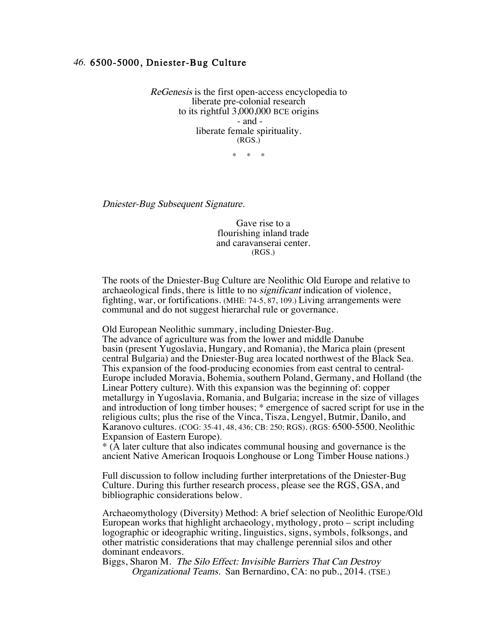## 46. 6500-5000, Dniester-Bug Culture

ReGenesis is the first open-access encyclopedia to liberate pre-colonial research to its rightful 3,000,000 BCE origins - and liberate female spirituality. (RGS.)

 $*$   $*$ 

Dniester-Bug Subsequent Signature.

Gave rise to a flourishing inland trade and caravanserai center. (RGS.)

The roots of the Dniester-Bug Culture are Neolithic Old Europe and relative to archaeological finds, there is little to no significant indication of violence, fighting, war, or fortifications. (MHE: 74-5, 87, 109.) Living arrangements were communal and do not suggest hierarchal rule or governance.

Old European Neolithic summary, including Dniester-Bug. The advance of agriculture was from the lower and middle Danube basin (present Yugoslavia, Hungary, and Romania), the Marica plain (present central Bulgaria) and the Dniester-Bug area located northwest of the Black Sea. This expansion of the food-producing economies from east central to central-Europe included Moravia, Bohemia, southern Poland, Germany, and Holland (the Linear Pottery culture). With this expansion was the beginning of: copper metallurgy in Yugoslavia, Romania, and Bulgaria; increase in the size of villages and introduction of long timber houses; \* emergence of sacred script for use in the religious cults; plus the rise of the Vinca, Tisza, Lengyel, Butmir, Danilo, and Karanovo cultures. (COG: 35-41, 48, 436; CB: 250; RGS). (RGS: 6500-5500, Neolithic Expansion of Eastern Europe).

\* (A later culture that also indicates communal housing and governance is the ancient Native American Iroquois Longhouse or Long Timber House nations.)

Full discussion to follow including further interpretations of the Dniester-Bug Culture. During this further research process, please see the RGS, GSA, and bibliographic considerations below.

Archaeomythology (Diversity) Method: A brief selection of Neolithic Europe/Old European works that highlight archaeology, mythology, proto – script including logographic or ideographic writing, linguistics, signs, symbols, folksongs, and other matristic considerations that may challenge perennial silos and other dominant endeavors.

Biggs, Sharon M. The Silo Effect: Invisible Barriers That Can Destroy Organizational Teams. San Bernardino, CA: no pub., 2014. (TSE.)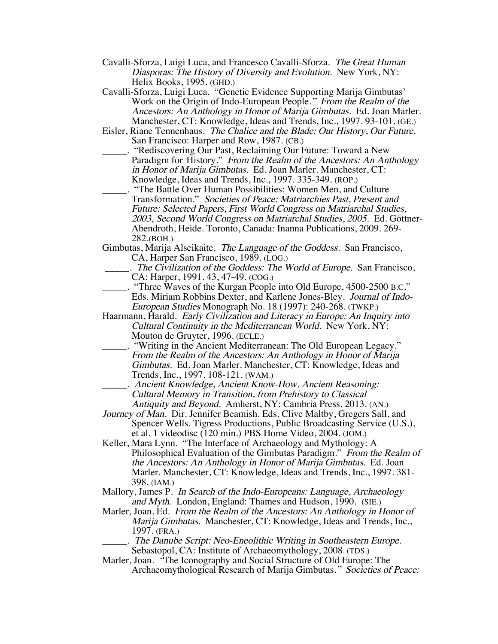- Cavalli-Sforza, Luigi Luca, and Francesco Cavalli-Sforza. The Great Human Diasporas: The History of Diversity and Evolution. New York, NY: Helix Books, 1995. (GHD.)
- Cavalli-Sforza, Luigi Luca. "Genetic Evidence Supporting Marija Gimbutas' Work on the Origin of Indo-European People." From the Realm of the Ancestors: An Anthology in Honor of Marija Gimbutas. Ed. Joan Marler. Manchester, CT: Knowledge, Ideas and Trends, Inc., 1997. 93-101. (GE.)
- Eisler, Riane Tennenhaus. The Chalice and the Blade: Our History, Our Future. San Francisco: Harper and Row, 1987. (CB.)
- \_\_\_\_\_. "Rediscovering Our Past, Reclaiming Our Future: Toward a New Paradigm for History." From the Realm of the Ancestors: An Anthology in Honor of Marija Gimbutas. Ed. Joan Marler. Manchester, CT: Knowledge, Ideas and Trends, Inc., 1997. 335-349. (ROP.)
- \_\_\_\_\_. "The Battle Over Human Possibilities: Women Men, and Culture Transformation." Societies of Peace: Matriarchies Past, Present and Future: Selected Papers, First World Congress on Matriarchal Studies, 2003, Second World Congress on Matriarchal Studies, 2005. Ed. Göttner- Abendroth, Heide. Toronto, Canada: Inanna Publications, 2009. 269- 282.(BOH.)

Gimbutas, Marija Alseikaite. The Language of the Goddess. San Francisco, CA, Harper San Francisco, 1989. (LOG.)

- \_\_\_\_\_. The Civilization of the Goddess: The World of Europe. San Francisco, CA: Harper, 1991. 43, 47-49. (COG.)
- \_\_\_\_\_. "Three Waves of the Kurgan People into Old Europe, 4500-2500 B.C." Eds. Miriam Robbins Dexter, and Karlene Jones-Bley. Journal of Indo-European Studies Monograph No. 18 (1997): 240-268. (TWKP.)
- Haarmann, Harald. Early Civilization and Literacy in Europe: An Inquiry into Cultural Continuity in the Mediterranean World. New York, NY: Mouton de Gruyter, 1996. (ECLE.)
- \_\_\_\_\_. "Writing in the Ancient Mediterranean: The Old European Legacy." From the Realm of the Ancestors: An Anthology in Honor of Marija Gimbutas. Ed. Joan Marler. Manchester, CT: Knowledge, Ideas and Trends, Inc., 1997. 108-121. (WAM.)
	- \_\_\_\_\_. Ancient Knowledge, Ancient Know-How, Ancient Reasoning: Cultural Memory in Transition, from Prehistory to Classical Antiquity and Beyond. Amherst, NY: Cambria Press, 2013. (AN.)
- Journey of Man. Dir. Jennifer Beamish. Eds. Clive Maltby, Gregers Sall, and Spencer Wells. Tigress Productions, Public Broadcasting Service (U.S.), et al. 1 videodisc (120 min.) PBS Home Video, 2004. (JOM.)
- Keller, Mara Lynn. "The Interface of Archaeology and Mythology: A Philosophical Evaluation of the Gimbutas Paradigm." From the Realm of the Ancestors: An Anthology in Honor of Marija Gimbutas. Ed. Joan Marler. Manchester, CT: Knowledge, Ideas and Trends, Inc., 1997. 381- 398. (IAM.)
- Mallory, James P. In Search of the Indo-Europeans: Language, Archaeology and Myth. London, England: Thames and Hudson, 1990. (SIE.)
- Marler, Joan, Ed. From the Realm of the Ancestors: An Anthology in Honor of Marija Gimbutas. Manchester, CT: Knowledge, Ideas and Trends, Inc., 1997. (FRA.)
	- . The Danube Script: Neo-Eneolithic Writing in Southeastern Europe. Sebastopol, CA: Institute of Archaeomythology, 2008. (TDS.)
- Marler, Joan. "The Iconography and Social Structure of Old Europe: The Archaeomythological Research of Marija Gimbutas." Societies of Peace: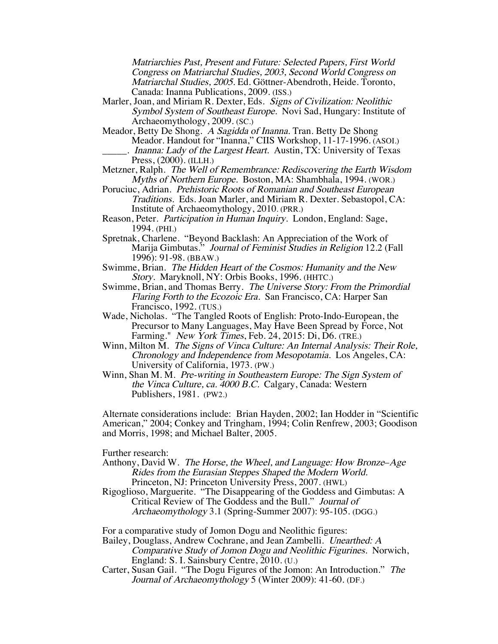Matriarchies Past, Present and Future: Selected Papers, First World Congress on Matriarchal Studies, 2003, Second World Congress on Matriarchal Studies, 2005. Ed. Göttner-Abendroth, Heide. Toronto, Canada: Inanna Publications, 2009. (ISS.)

- Marler, Joan, and Miriam R. Dexter, Eds. Signs of Civilization: Neolithic Symbol System of Southeast Europe. Novi Sad, Hungary: Institute of Archaeomythology, 2009. (SC.)
- Meador, Betty De Shong. A Sagidda of Inanna. Tran. Betty De Shong Meador. Handout for "Inanna," CIIS Workshop, 11-17-1996. (ASOI.) \_\_\_\_\_. Inanna: Lady of the Largest Heart. Austin, TX: University of Texas Press, (2000). (ILLH.)
- Metzner, Ralph. The Well of Remembrance: Rediscovering the Earth Wisdom Myths of Northern Europe. Boston, MA: Shambhala, 1994. (WOR.)
- Poruciuc, Adrian. Prehistoric Roots of Romanian and Southeast European Traditions. Eds. Joan Marler, and Miriam R. Dexter. Sebastopol, CA: Institute of Archaeomythology, 2010. (PRR.)
- Reason, Peter. Participation in Human Inquiry. London, England: Sage, 1994. (PHI.)
- Spretnak, Charlene. "Beyond Backlash: An Appreciation of the Work of Marija Gimbutas." Journal of Feminist Studies in Religion 12.2 (Fall 1996): 91-98. (BBAW.)
- Swimme, Brian. The Hidden Heart of the Cosmos: Humanity and the New Story. Maryknoll, NY: Orbis Books, 1996. (HHTC.)
- Swimme, Brian, and Thomas Berry. The Universe Story: From the Primordial Flaring Forth to the Ecozoic Era. San Francisco, CA: Harper San Francisco, 1992. (TUS.)
- Wade, Nicholas. "The Tangled Roots of English: Proto-Indo-European, the Precursor to Many Languages, May Have Been Spread by Force, Not Farming." *New York Times*, Feb. 24, 2015: Di, D6. (TRE.)
- Winn, Milton M. The Signs of Vinca Culture: An Internal Analysis: Their Role, Chronology and Independence from Mesopotamia. Los Angeles, CA: University of California, 1973. (PW.)
- Winn, Shan M. M. Pre-writing in Southeastern Europe: The Sign System of the Vinca Culture, ca. 4000 B.C. Calgary, Canada: Western Publishers, 1981. (PW2.)

Alternate considerations include: Brian Hayden, 2002; Ian Hodder in "Scientific American," 2004; Conkey and Tringham, 1994; Colin Renfrew, 2003; Goodison and Morris, 1998; and Michael Balter, 2005.

Further research:

- Anthony, David W. The Horse, the Wheel, and Language: How Bronze–Age Rides from the Eurasian Steppes Shaped the Modern World. Princeton, NJ: Princeton University Press, 2007. (HWL)
- Rigoglioso, Marguerite. "The Disappearing of the Goddess and Gimbutas: A Critical Review of The Goddess and the Bull." Journal of Archaeomythology 3.1 (Spring-Summer 2007): 95-105. (DGG.)

For a comparative study of Jomon Dogu and Neolithic figures:

- Bailey, Douglass, Andrew Cochrane, and Jean Zambelli. Unearthed: A Comparative Study of Jomon Dogu and Neolithic Figurines. Norwich, England: S. I. Sainsbury Centre, 2010. (U.)
- Carter, Susan Gail. "The Dogu Figures of the Jomon: An Introduction." The Journal of Archaeomythology 5 (Winter 2009): 41-60. (DF.)